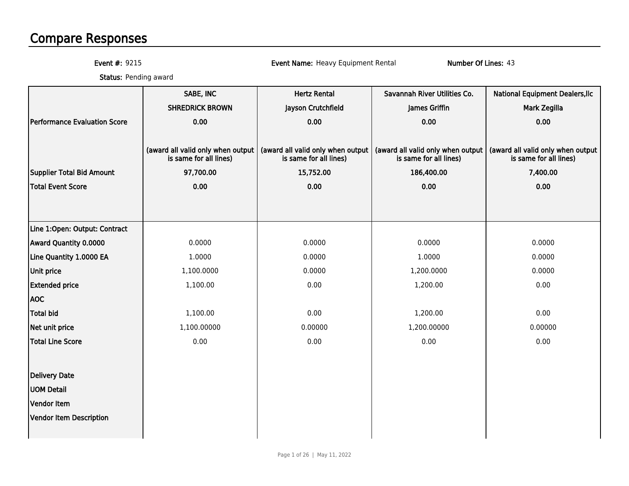# Compare Responses

Event #: 9215

Event Name: Heavy Equipment Rental Number Of Lines: 43

**Status:** Pending award

|                                  | SABE, INC                                                   | <b>Hertz Rental</b>                                         | Savannah River Utilities Co.                                | <b>National Equipment Dealers, Ilc</b>                      |
|----------------------------------|-------------------------------------------------------------|-------------------------------------------------------------|-------------------------------------------------------------|-------------------------------------------------------------|
|                                  | <b>SHREDRICK BROWN</b>                                      | Jayson Crutchfield                                          | James Griffin                                               | Mark Zegilla                                                |
| Performance Evaluation Score     | 0.00                                                        | 0.00                                                        | 0.00                                                        | 0.00                                                        |
|                                  |                                                             |                                                             |                                                             |                                                             |
|                                  | (award all valid only when output<br>is same for all lines) | (award all valid only when output<br>is same for all lines) | (award all valid only when output<br>is same for all lines) | (award all valid only when output<br>is same for all lines) |
| <b>Supplier Total Bid Amount</b> | 97,700.00                                                   | 15,752.00                                                   | 186,400.00                                                  | 7,400.00                                                    |
| <b>Total Event Score</b>         | 0.00                                                        | 0.00                                                        | 0.00                                                        | 0.00                                                        |
|                                  |                                                             |                                                             |                                                             |                                                             |
|                                  |                                                             |                                                             |                                                             |                                                             |
| Line 1:Open: Output: Contract    |                                                             |                                                             |                                                             |                                                             |
| Award Quantity 0.0000            | 0.0000                                                      | 0.0000                                                      | 0.0000                                                      | 0.0000                                                      |
| Line Quantity 1.0000 EA          | 1.0000                                                      | 0.0000                                                      | 1.0000                                                      | 0.0000                                                      |
| <b>Unit price</b>                | 1,100.0000                                                  | 0.0000                                                      | 1,200.0000                                                  | 0.0000                                                      |
| <b>Extended price</b>            | 1,100.00                                                    | 0.00                                                        | 1,200.00                                                    | 0.00                                                        |
| <b>AOC</b>                       |                                                             |                                                             |                                                             |                                                             |
| <b>Total bid</b>                 | 1,100.00                                                    | 0.00                                                        | 1,200.00                                                    | 0.00                                                        |
| Net unit price                   | 1,100.00000                                                 | 0.00000                                                     | 1,200.00000                                                 | 0.00000                                                     |
| Total Line Score                 | 0.00                                                        | 0.00                                                        | 0.00                                                        | 0.00                                                        |
|                                  |                                                             |                                                             |                                                             |                                                             |
| Delivery Date                    |                                                             |                                                             |                                                             |                                                             |
| <b>UOM Detail</b>                |                                                             |                                                             |                                                             |                                                             |
| Vendor Item                      |                                                             |                                                             |                                                             |                                                             |
| Vendor Item Description          |                                                             |                                                             |                                                             |                                                             |
|                                  |                                                             |                                                             |                                                             |                                                             |
|                                  |                                                             |                                                             |                                                             |                                                             |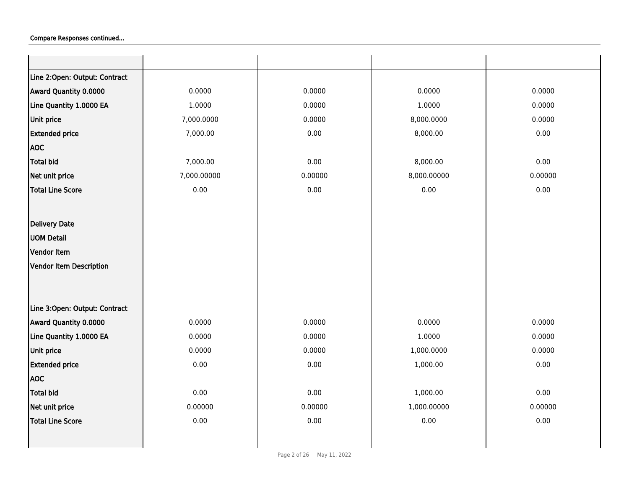| Line 2:Open: Output: Contract  |             |         |             |          |
|--------------------------------|-------------|---------|-------------|----------|
| Award Quantity 0.0000          | 0.0000      | 0.0000  | 0.0000      | 0.0000   |
| Line Quantity 1.0000 EA        | 1.0000      | 0.0000  | 1.0000      | 0.0000   |
| Unit price                     | 7,000.0000  | 0.0000  | 8,000.0000  | 0.0000   |
| <b>Extended price</b>          | 7,000.00    | 0.00    | 8,000.00    | 0.00     |
| <b>AOC</b>                     |             |         |             |          |
| <b>Total bid</b>               | 7,000.00    | 0.00    | 8,000.00    | 0.00     |
| Net unit price                 | 7,000.00000 | 0.00000 | 8,000.00000 | 0.00000  |
| <b>Total Line Score</b>        | 0.00        | 0.00    | 0.00        | 0.00     |
|                                |             |         |             |          |
| Delivery Date                  |             |         |             |          |
| <b>UOM Detail</b>              |             |         |             |          |
| Vendor Item                    |             |         |             |          |
| <b>Vendor Item Description</b> |             |         |             |          |
|                                |             |         |             |          |
|                                |             |         |             |          |
| Line 3:Open: Output: Contract  |             |         |             |          |
| Award Quantity 0.0000          | 0.0000      | 0.0000  | 0.0000      | 0.0000   |
| Line Quantity 1.0000 EA        | 0.0000      | 0.0000  | 1.0000      | 0.0000   |
| Unit price                     | 0.0000      | 0.0000  | 1,000.0000  | 0.0000   |
| <b>Extended price</b>          | 0.00        | 0.00    | 1,000.00    | 0.00     |
| <b>AOC</b>                     |             |         |             |          |
| <b>Total bid</b>               | 0.00        | 0.00    | 1,000.00    | 0.00     |
| Net unit price                 | 0.00000     | 0.00000 | 1,000.00000 | 0.00000  |
| <b>Total Line Score</b>        | 0.00        | 0.00    | 0.00        | $0.00\,$ |
|                                |             |         |             |          |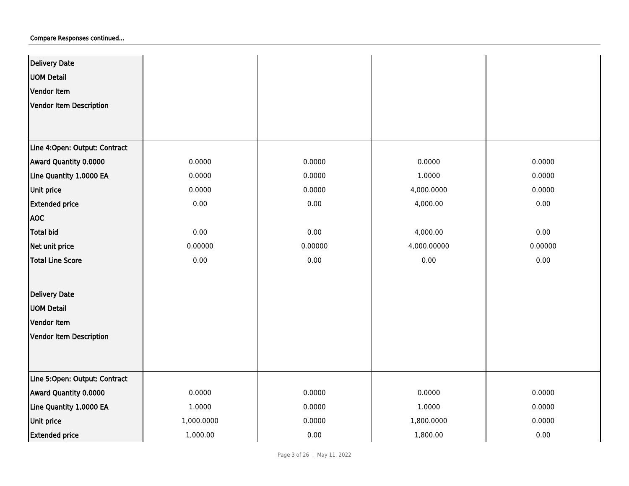| Delivery Date                  |            |         |             |          |
|--------------------------------|------------|---------|-------------|----------|
| <b>UOM Detail</b>              |            |         |             |          |
| Vendor Item                    |            |         |             |          |
| <b>Vendor Item Description</b> |            |         |             |          |
|                                |            |         |             |          |
| Line 4:Open: Output: Contract  |            |         |             |          |
|                                |            |         |             |          |
| Award Quantity 0.0000          | 0.0000     | 0.0000  | 0.0000      | 0.0000   |
| Line Quantity 1.0000 EA        | 0.0000     | 0.0000  | 1.0000      | 0.0000   |
| Unit price                     | 0.0000     | 0.0000  | 4,000.0000  | 0.0000   |
| <b>Extended price</b>          | 0.00       | 0.00    | 4,000.00    | 0.00     |
| <b>AOC</b>                     |            |         |             |          |
| <b>Total bid</b>               | 0.00       | 0.00    | 4,000.00    | 0.00     |
| Net unit price                 | 0.00000    | 0.00000 | 4,000.00000 | 0.00000  |
| <b>Total Line Score</b>        | 0.00       | 0.00    | 0.00        | $0.00\,$ |
|                                |            |         |             |          |
| <b>Delivery Date</b>           |            |         |             |          |
| <b>UOM Detail</b>              |            |         |             |          |
| Vendor Item                    |            |         |             |          |
| <b>Vendor Item Description</b> |            |         |             |          |
|                                |            |         |             |          |
|                                |            |         |             |          |
| Line 5:Open: Output: Contract  |            |         |             |          |
| Award Quantity 0.0000          | 0.0000     | 0.0000  | 0.0000      | 0.0000   |
| Line Quantity 1.0000 EA        | 1.0000     | 0.0000  | 1.0000      | 0.0000   |
| Unit price                     | 1,000.0000 | 0.0000  | 1,800.0000  | 0.0000   |
| <b>Extended price</b>          | 1,000.00   | 0.00    | 1,800.00    | 0.00     |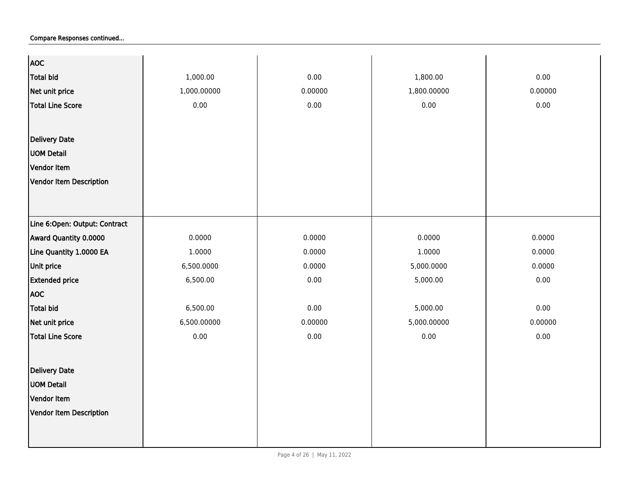| <b>AOC</b>                     |             |         |             |         |
|--------------------------------|-------------|---------|-------------|---------|
| <b>Total bid</b>               | 1,000.00    | 0.00    | 1,800.00    | 0.00    |
| Net unit price                 | 1,000.00000 | 0.00000 | 1,800.00000 | 0.00000 |
| <b>Total Line Score</b>        | 0.00        | 0.00    | 0.00        | 0.00    |
|                                |             |         |             |         |
|                                |             |         |             |         |
| Delivery Date                  |             |         |             |         |
| <b>UOM Detail</b>              |             |         |             |         |
| Vendor Item                    |             |         |             |         |
| <b>Vendor Item Description</b> |             |         |             |         |
|                                |             |         |             |         |
|                                |             |         |             |         |
| Line 6:Open: Output: Contract  |             |         |             |         |
| Award Quantity 0.0000          | 0.0000      | 0.0000  | 0.0000      | 0.0000  |
| Line Quantity 1.0000 EA        | 1.0000      | 0.0000  | 1.0000      | 0.0000  |
| Unit price                     | 6,500.0000  | 0.0000  | 5,000.0000  | 0.0000  |
| <b>Extended price</b>          | 6,500.00    | 0.00    | 5,000.00    | 0.00    |
| <b>AOC</b>                     |             |         |             |         |
| <b>Total bid</b>               | 6,500.00    | 0.00    | 5,000.00    | 0.00    |
| Net unit price                 | 6,500.00000 | 0.00000 | 5,000.00000 | 0.00000 |
| <b>Total Line Score</b>        | 0.00        | 0.00    | 0.00        | 0.00    |
|                                |             |         |             |         |
| <b>Delivery Date</b>           |             |         |             |         |
| <b>UOM Detail</b>              |             |         |             |         |
| Vendor Item                    |             |         |             |         |
| <b>Vendor Item Description</b> |             |         |             |         |
|                                |             |         |             |         |
|                                |             |         |             |         |
|                                |             |         |             |         |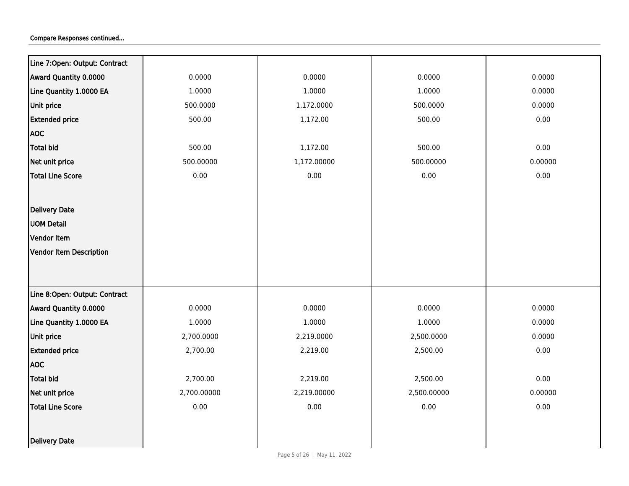| Line 7:Open: Output: Contract  |             |             |             |          |
|--------------------------------|-------------|-------------|-------------|----------|
| Award Quantity 0.0000          | 0.0000      | 0.0000      | 0.0000      | 0.0000   |
| Line Quantity 1.0000 EA        | 1.0000      | 1.0000      | 1.0000      | 0.0000   |
| Unit price                     | 500.0000    | 1,172.0000  | 500.0000    | 0.0000   |
| <b>Extended price</b>          | 500.00      | 1,172.00    | 500.00      | $0.00\,$ |
| <b>AOC</b>                     |             |             |             |          |
| <b>Total bid</b>               | 500.00      | 1,172.00    | 500.00      | 0.00     |
| Net unit price                 | 500.00000   | 1,172.00000 | 500.00000   | 0.00000  |
| <b>Total Line Score</b>        | 0.00        | 0.00        | 0.00        | 0.00     |
|                                |             |             |             |          |
| <b>Delivery Date</b>           |             |             |             |          |
| <b>UOM Detail</b>              |             |             |             |          |
| Vendor Item                    |             |             |             |          |
| <b>Vendor Item Description</b> |             |             |             |          |
|                                |             |             |             |          |
|                                |             |             |             |          |
| Line 8:Open: Output: Contract  |             |             |             |          |
| Award Quantity 0.0000          | 0.0000      | 0.0000      | 0.0000      | 0.0000   |
| Line Quantity 1.0000 EA        | 1.0000      | 1.0000      | 1.0000      | 0.0000   |
| Unit price                     | 2,700.0000  | 2,219.0000  | 2,500.0000  | 0.0000   |
| <b>Extended price</b>          | 2,700.00    | 2,219.00    | 2,500.00    | 0.00     |
| <b>AOC</b>                     |             |             |             |          |
| <b>Total bid</b>               | 2,700.00    | 2,219.00    | 2,500.00    | 0.00     |
| Net unit price                 | 2,700.00000 | 2,219.00000 | 2,500.00000 | 0.00000  |
| <b>Total Line Score</b>        | 0.00        | 0.00        | 0.00        | 0.00     |
|                                |             |             |             |          |
| Delivery Date                  |             |             |             |          |
|                                |             |             |             |          |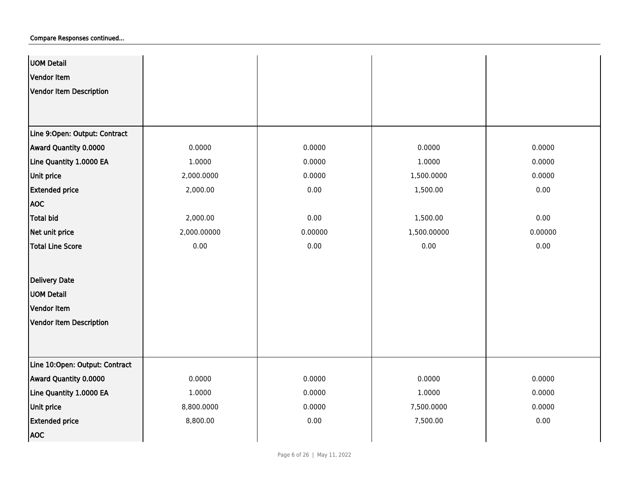| <b>UOM Detail</b>              |             |         |             |          |
|--------------------------------|-------------|---------|-------------|----------|
| Vendor Item                    |             |         |             |          |
| Vendor Item Description        |             |         |             |          |
|                                |             |         |             |          |
|                                |             |         |             |          |
| Line 9:Open: Output: Contract  |             |         |             |          |
| Award Quantity 0.0000          | 0.0000      | 0.0000  | 0.0000      | 0.0000   |
| Line Quantity 1.0000 EA        | 1.0000      | 0.0000  | 1.0000      | 0.0000   |
| Unit price                     | 2,000.0000  | 0.0000  | 1,500.0000  | 0.0000   |
| <b>Extended price</b>          | 2,000.00    | 0.00    | 1,500.00    | $0.00\,$ |
| <b>AOC</b>                     |             |         |             |          |
| Total bid                      | 2,000.00    | 0.00    | 1,500.00    | 0.00     |
| Net unit price                 | 2,000.00000 | 0.00000 | 1,500.00000 | 0.00000  |
| <b>Total Line Score</b>        | 0.00        | 0.00    | 0.00        | $0.00\,$ |
|                                |             |         |             |          |
| <b>Delivery Date</b>           |             |         |             |          |
| <b>UOM Detail</b>              |             |         |             |          |
| Vendor Item                    |             |         |             |          |
| Vendor Item Description        |             |         |             |          |
|                                |             |         |             |          |
|                                |             |         |             |          |
| Line 10:Open: Output: Contract |             |         |             |          |
| Award Quantity 0.0000          | 0.0000      | 0.0000  | 0.0000      | 0.0000   |
| Line Quantity 1.0000 EA        | 1.0000      | 0.0000  | 1.0000      | 0.0000   |
| Unit price                     | 8,800.0000  | 0.0000  | 7,500.0000  | 0.0000   |
| <b>Extended price</b>          | 8,800.00    | 0.00    | 7,500.00    | $0.00\,$ |
| <b>AOC</b>                     |             |         |             |          |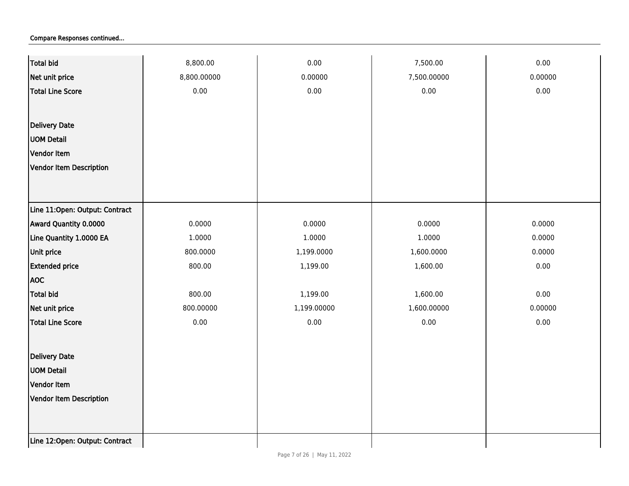| Total bid                      | 8,800.00    | 0.00        | 7,500.00    | 0.00    |
|--------------------------------|-------------|-------------|-------------|---------|
| Net unit price                 | 8,800.00000 | 0.00000     | 7,500.00000 | 0.00000 |
| Total Line Score               | 0.00        | 0.00        | 0.00        | 0.00    |
|                                |             |             |             |         |
| <b>Delivery Date</b>           |             |             |             |         |
| <b>UOM Detail</b>              |             |             |             |         |
| Vendor Item                    |             |             |             |         |
| Vendor Item Description        |             |             |             |         |
|                                |             |             |             |         |
|                                |             |             |             |         |
| Line 11:Open: Output: Contract |             |             |             |         |
| Award Quantity 0.0000          | 0.0000      | 0.0000      | 0.0000      | 0.0000  |
| Line Quantity 1.0000 EA        | 1.0000      | 1.0000      | 1.0000      | 0.0000  |
| Unit price                     | 800.0000    | 1,199.0000  | 1,600.0000  | 0.0000  |
| <b>Extended price</b>          | 800.00      | 1,199.00    | 1,600.00    | 0.00    |
| <b>AOC</b>                     |             |             |             |         |
| <b>Total bid</b>               | 800.00      | 1,199.00    | 1,600.00    | 0.00    |
| Net unit price                 | 800.00000   | 1,199.00000 | 1,600.00000 | 0.00000 |
| Total Line Score               | 0.00        | 0.00        | 0.00        | 0.00    |
|                                |             |             |             |         |
| <b>Delivery Date</b>           |             |             |             |         |
| <b>UOM Detail</b>              |             |             |             |         |
| Vendor Item                    |             |             |             |         |
| Vendor Item Description        |             |             |             |         |
|                                |             |             |             |         |
|                                |             |             |             |         |
| Line 12:Open: Output: Contract |             |             |             |         |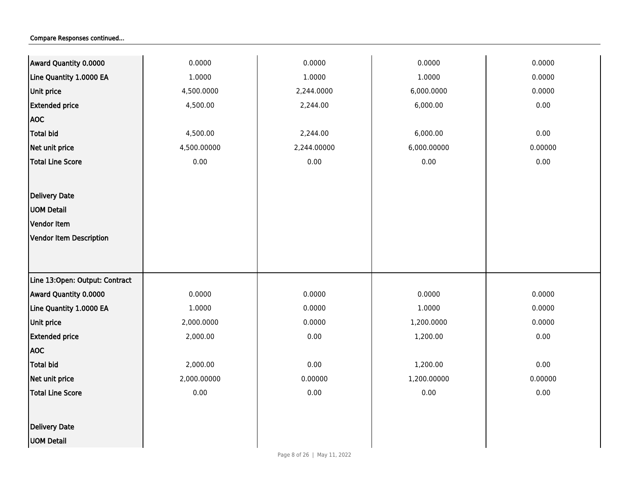| Award Quantity 0.0000          | 0.0000      | 0.0000      | 0.0000      | 0.0000  |
|--------------------------------|-------------|-------------|-------------|---------|
| Line Quantity 1.0000 EA        | 1.0000      | 1.0000      | 1.0000      | 0.0000  |
| Unit price                     | 4,500.0000  | 2,244.0000  | 6,000.0000  | 0.0000  |
| <b>Extended price</b>          | 4,500.00    | 2,244.00    | 6,000.00    | 0.00    |
| <b>AOC</b>                     |             |             |             |         |
| <b>Total bid</b>               | 4,500.00    | 2,244.00    | 6,000.00    | 0.00    |
| Net unit price                 | 4,500.00000 | 2,244.00000 | 6,000.00000 | 0.00000 |
| Total Line Score               | 0.00        | $0.00\,$    | 0.00        | 0.00    |
|                                |             |             |             |         |
| <b>Delivery Date</b>           |             |             |             |         |
| <b>UOM Detail</b>              |             |             |             |         |
| Vendor Item                    |             |             |             |         |
| Vendor Item Description        |             |             |             |         |
|                                |             |             |             |         |
|                                |             |             |             |         |
| Line 13:Open: Output: Contract |             |             |             |         |
| Award Quantity 0.0000          | 0.0000      | 0.0000      | 0.0000      | 0.0000  |
| Line Quantity 1.0000 EA        | 1.0000      | 0.0000      | 1.0000      | 0.0000  |
| Unit price                     | 2,000.0000  | 0.0000      | 1,200.0000  | 0.0000  |
| <b>Extended price</b>          | 2,000.00    | 0.00        | 1,200.00    | 0.00    |
| <b>AOC</b>                     |             |             |             |         |
| <b>Total bid</b>               | 2,000.00    | 0.00        | 1,200.00    | 0.00    |
| Net unit price                 | 2,000.00000 | 0.00000     | 1,200.00000 | 0.00000 |
| <b>Total Line Score</b>        | 0.00        | 0.00        | 0.00        | 0.00    |
|                                |             |             |             |         |
| <b>Delivery Date</b>           |             |             |             |         |
| <b>UOM Detail</b>              |             |             |             |         |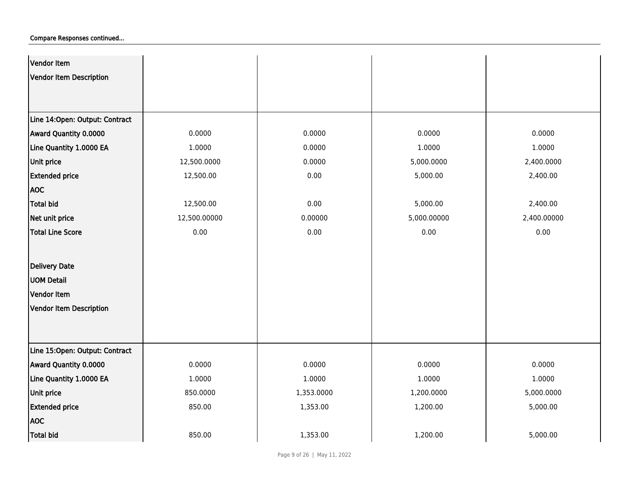| Vendor Item                    |              |            |             |             |
|--------------------------------|--------------|------------|-------------|-------------|
| <b>Vendor Item Description</b> |              |            |             |             |
|                                |              |            |             |             |
|                                |              |            |             |             |
| Line 14:Open: Output: Contract |              |            |             |             |
| Award Quantity 0.0000          | 0.0000       | 0.0000     | 0.0000      | 0.0000      |
| Line Quantity 1.0000 EA        | 1.0000       | 0.0000     | 1.0000      | 1.0000      |
| Unit price                     | 12,500.0000  | 0.0000     | 5,000.0000  | 2,400.0000  |
| <b>Extended price</b>          | 12,500.00    | 0.00       | 5,000.00    | 2,400.00    |
| <b>AOC</b>                     |              |            |             |             |
| <b>Total bid</b>               | 12,500.00    | 0.00       | 5,000.00    | 2,400.00    |
| Net unit price                 | 12,500.00000 | 0.00000    | 5,000.00000 | 2,400.00000 |
| <b>Total Line Score</b>        | 0.00         | 0.00       | 0.00        | 0.00        |
|                                |              |            |             |             |
| <b>Delivery Date</b>           |              |            |             |             |
| <b>UOM Detail</b>              |              |            |             |             |
| <b>Vendor Item</b>             |              |            |             |             |
| <b>Vendor Item Description</b> |              |            |             |             |
|                                |              |            |             |             |
|                                |              |            |             |             |
| Line 15:Open: Output: Contract |              |            |             |             |
| Award Quantity 0.0000          | 0.0000       | 0.0000     | 0.0000      | 0.0000      |
| Line Quantity 1.0000 EA        | 1.0000       | 1.0000     | 1.0000      | 1.0000      |
| Unit price                     | 850.0000     | 1,353.0000 | 1,200.0000  | 5,000.0000  |
| <b>Extended price</b>          | 850.00       | 1,353.00   | 1,200.00    | 5,000.00    |
| <b>AOC</b>                     |              |            |             |             |
| <b>Total bid</b>               | 850.00       | 1,353.00   | 1,200.00    | 5,000.00    |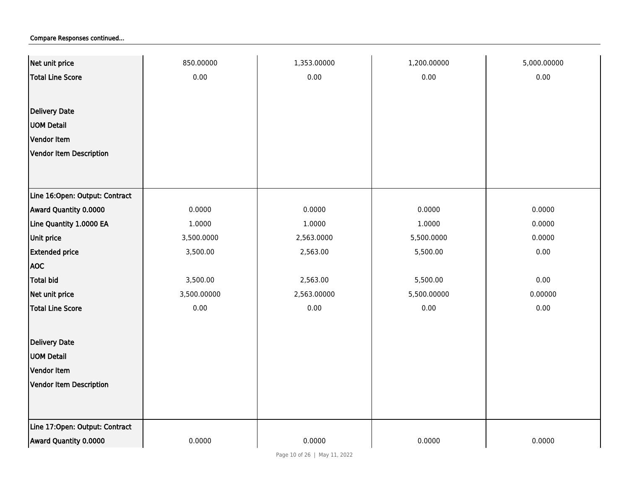| Net unit price                 | 850.00000   | 1,353.00000 | 1,200.00000 | 5,000.00000 |
|--------------------------------|-------------|-------------|-------------|-------------|
| <b>Total Line Score</b>        | 0.00        | 0.00        | 0.00        | 0.00        |
|                                |             |             |             |             |
| <b>Delivery Date</b>           |             |             |             |             |
| <b>UOM Detail</b>              |             |             |             |             |
| Vendor Item                    |             |             |             |             |
| <b>Vendor Item Description</b> |             |             |             |             |
|                                |             |             |             |             |
|                                |             |             |             |             |
| Line 16:Open: Output: Contract |             |             |             |             |
| Award Quantity 0.0000          | 0.0000      | 0.0000      | 0.0000      | 0.0000      |
| Line Quantity 1.0000 EA        | 1.0000      | 1.0000      | 1.0000      | 0.0000      |
| Unit price                     | 3,500.0000  | 2,563.0000  | 5,500.0000  | 0.0000      |
| <b>Extended price</b>          | 3,500.00    | 2,563.00    | 5,500.00    | 0.00        |
| <b>AOC</b>                     |             |             |             |             |
| <b>Total bid</b>               | 3,500.00    | 2,563.00    | 5,500.00    | 0.00        |
| Net unit price                 | 3,500.00000 | 2,563.00000 | 5,500.00000 | 0.00000     |
| Total Line Score               | 0.00        | 0.00        | 0.00        | 0.00        |
|                                |             |             |             |             |
| <b>Delivery Date</b>           |             |             |             |             |
| <b>UOM Detail</b>              |             |             |             |             |
| Vendor Item                    |             |             |             |             |
| Vendor Item Description        |             |             |             |             |
|                                |             |             |             |             |
|                                |             |             |             |             |
| Line 17:Open: Output: Contract |             |             |             |             |
| Award Quantity 0.0000          | 0.0000      | 0.0000      | 0.0000      | 0.0000      |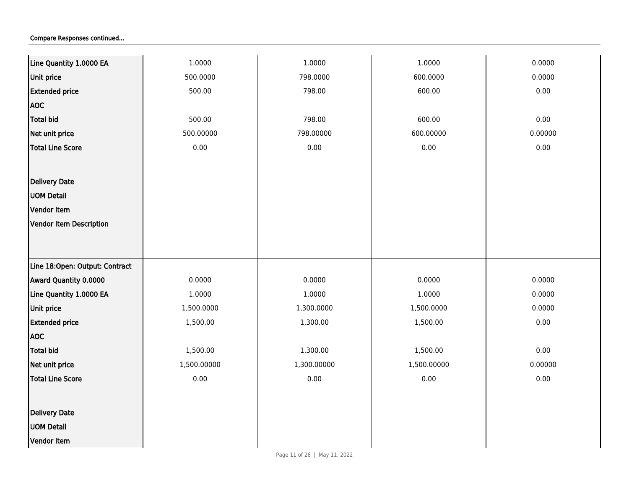| Line Quantity 1.0000 EA        | 1.0000      | 1.0000      | 1.0000      | 0.0000  |
|--------------------------------|-------------|-------------|-------------|---------|
| Unit price                     | 500.0000    | 798.0000    | 600.0000    | 0.0000  |
| <b>Extended price</b>          | 500.00      | 798.00      | 600.00      | 0.00    |
| <b>AOC</b>                     |             |             |             |         |
| <b>Total bid</b>               | 500.00      | 798.00      | 600.00      | 0.00    |
| Net unit price                 | 500.00000   | 798.00000   | 600.00000   | 0.00000 |
| <b>Total Line Score</b>        | $0.00\,$    | $0.00\,$    | 0.00        | 0.00    |
|                                |             |             |             |         |
| Delivery Date                  |             |             |             |         |
| <b>UOM Detail</b>              |             |             |             |         |
| Vendor Item                    |             |             |             |         |
| <b>Vendor Item Description</b> |             |             |             |         |
|                                |             |             |             |         |
|                                |             |             |             |         |
| Line 18:Open: Output: Contract |             |             |             |         |
| Award Quantity 0.0000          | 0.0000      | 0.0000      | 0.0000      | 0.0000  |
| Line Quantity 1.0000 EA        | 1.0000      | 1.0000      | 1.0000      | 0.0000  |
| <b>Unit price</b>              | 1,500.0000  | 1,300.0000  | 1,500.0000  | 0.0000  |
| <b>Extended price</b>          | 1,500.00    | 1,300.00    | 1,500.00    | 0.00    |
| <b>AOC</b>                     |             |             |             |         |
| <b>Total bid</b>               | 1,500.00    | 1,300.00    | 1,500.00    | 0.00    |
| Net unit price                 | 1,500.00000 | 1,300.00000 | 1,500.00000 | 0.00000 |
| <b>Total Line Score</b>        | 0.00        | $0.00\,$    | 0.00        | 0.00    |
|                                |             |             |             |         |
| Delivery Date                  |             |             |             |         |
| <b>UOM Detail</b>              |             |             |             |         |
| Vendor Item                    |             |             |             |         |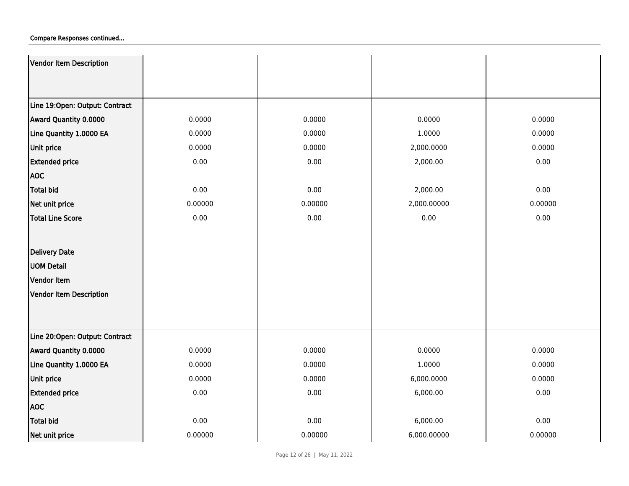| Vendor Item Description        |         |         |             |         |
|--------------------------------|---------|---------|-------------|---------|
|                                |         |         |             |         |
|                                |         |         |             |         |
| Line 19:Open: Output: Contract |         |         |             |         |
| Award Quantity 0.0000          | 0.0000  | 0.0000  | 0.0000      | 0.0000  |
| Line Quantity 1.0000 EA        | 0.0000  | 0.0000  | 1.0000      | 0.0000  |
| <b>Unit price</b>              | 0.0000  | 0.0000  | 2,000.0000  | 0.0000  |
| <b>Extended price</b>          | 0.00    | 0.00    | 2,000.00    | 0.00    |
| <b>AOC</b>                     |         |         |             |         |
| <b>Total bid</b>               | 0.00    | 0.00    | 2,000.00    | 0.00    |
| Net unit price                 | 0.00000 | 0.00000 | 2,000.00000 | 0.00000 |
| <b>Total Line Score</b>        | 0.00    | 0.00    | 0.00        | 0.00    |
|                                |         |         |             |         |
| Delivery Date                  |         |         |             |         |
| <b>UOM Detail</b>              |         |         |             |         |
| Vendor Item                    |         |         |             |         |
| Vendor Item Description        |         |         |             |         |
|                                |         |         |             |         |
|                                |         |         |             |         |
| Line 20:Open: Output: Contract |         |         |             |         |
| Award Quantity 0.0000          | 0.0000  | 0.0000  | 0.0000      | 0.0000  |
| Line Quantity 1.0000 EA        | 0.0000  | 0.0000  | 1.0000      | 0.0000  |
| <b>Unit price</b>              | 0.0000  | 0.0000  | 6,000.0000  | 0.0000  |
| <b>Extended price</b>          | 0.00    | 0.00    | 6,000.00    | 0.00    |
| <b>AOC</b>                     |         |         |             |         |
| <b>Total bid</b>               | 0.00    | 0.00    | 6,000.00    | 0.00    |
| Net unit price                 | 0.00000 | 0.00000 | 6,000.00000 | 0.00000 |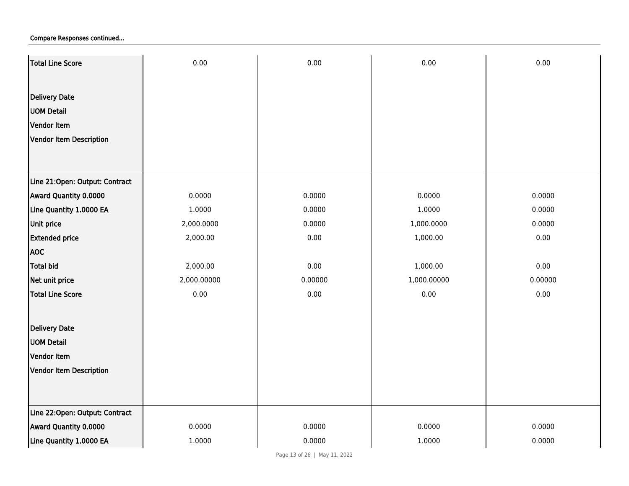| Total Line Score               | 0.00        | 0.00    | 0.00        | 0.00    |
|--------------------------------|-------------|---------|-------------|---------|
|                                |             |         |             |         |
| <b>Delivery Date</b>           |             |         |             |         |
| <b>UOM Detail</b>              |             |         |             |         |
| Vendor Item                    |             |         |             |         |
| Vendor Item Description        |             |         |             |         |
|                                |             |         |             |         |
|                                |             |         |             |         |
| Line 21:Open: Output: Contract |             |         |             |         |
| Award Quantity 0.0000          | 0.0000      | 0.0000  | 0.0000      | 0.0000  |
| Line Quantity 1.0000 EA        | 1.0000      | 0.0000  | 1.0000      | 0.0000  |
| Unit price                     | 2,000.0000  | 0.0000  | 1,000.0000  | 0.0000  |
| <b>Extended price</b>          | 2,000.00    | 0.00    | 1,000.00    | 0.00    |
| <b>AOC</b>                     |             |         |             |         |
| <b>Total bid</b>               | 2,000.00    | 0.00    | 1,000.00    | 0.00    |
| Net unit price                 | 2,000.00000 | 0.00000 | 1,000.00000 | 0.00000 |
| <b>Total Line Score</b>        | 0.00        | 0.00    | 0.00        | 0.00    |
| <b>Delivery Date</b>           |             |         |             |         |
| <b>UOM Detail</b>              |             |         |             |         |
| Vendor Item                    |             |         |             |         |
| Vendor Item Description        |             |         |             |         |
|                                |             |         |             |         |
|                                |             |         |             |         |
| Line 22:Open: Output: Contract |             |         |             |         |
| Award Quantity 0.0000          | 0.0000      | 0.0000  | 0.0000      | 0.0000  |
| Line Quantity 1.0000 EA        | 1.0000      | 0.0000  | 1.0000      | 0.0000  |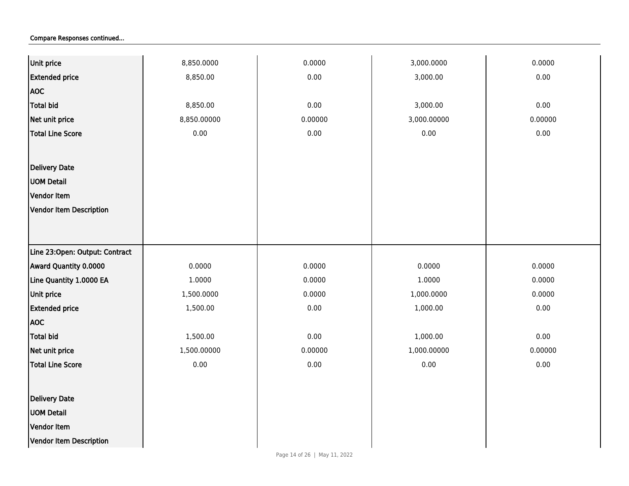| $0.00\,$<br>3,000.00   |
|------------------------|
|                        |
|                        |
| 0.00<br>3,000.00       |
| 0.00000<br>3,000.00000 |
| 0.00<br>$0.00\,$       |
|                        |
|                        |
|                        |
|                        |
|                        |
|                        |
|                        |
|                        |
| 0.0000<br>0.0000       |
| 1.0000<br>0.0000       |
| 0.0000<br>1,000.0000   |
| 1,000.00<br>$0.00\,$   |
|                        |
| 0.00<br>1,000.00       |
| 0.00000<br>1,000.00000 |
| 0.00<br>$0.00\,$       |
|                        |
|                        |
|                        |
|                        |
|                        |
|                        |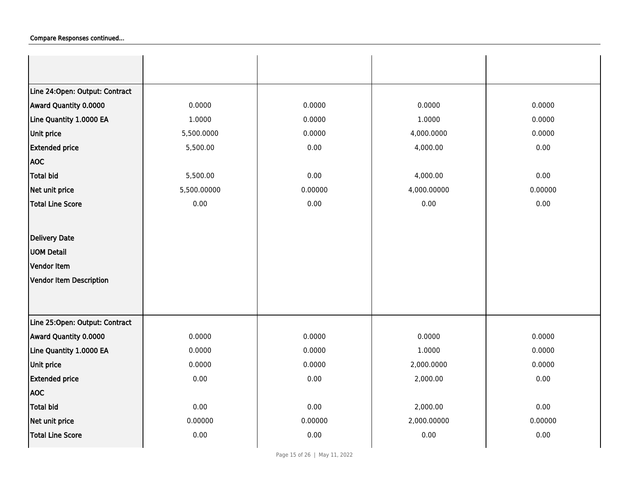| Line 24: Open: Output: Contract |             |         |             |         |
|---------------------------------|-------------|---------|-------------|---------|
| Award Quantity 0.0000           | 0.0000      | 0.0000  | 0.0000      | 0.0000  |
| Line Quantity 1.0000 EA         | 1.0000      | 0.0000  | 1.0000      | 0.0000  |
| Unit price                      | 5,500.0000  | 0.0000  | 4,000.0000  | 0.0000  |
| <b>Extended price</b>           | 5,500.00    | 0.00    | 4,000.00    | 0.00    |
| <b>AOC</b>                      |             |         |             |         |
| <b>Total bid</b>                | 5,500.00    | 0.00    | 4,000.00    | 0.00    |
| Net unit price                  | 5,500.00000 | 0.00000 | 4,000.00000 | 0.00000 |
| <b>Total Line Score</b>         | 0.00        | 0.00    | 0.00        | 0.00    |
|                                 |             |         |             |         |
| Delivery Date                   |             |         |             |         |
| <b>UOM Detail</b>               |             |         |             |         |
| Vendor Item                     |             |         |             |         |
| Vendor Item Description         |             |         |             |         |
|                                 |             |         |             |         |
|                                 |             |         |             |         |
| Line 25:Open: Output: Contract  |             |         |             |         |
| Award Quantity 0.0000           | 0.0000      | 0.0000  | 0.0000      | 0.0000  |
| Line Quantity 1.0000 EA         | 0.0000      | 0.0000  | 1.0000      | 0.0000  |
| <b>Unit price</b>               | 0.0000      | 0.0000  | 2,000.0000  | 0.0000  |
| <b>Extended price</b>           | 0.00        | 0.00    | 2,000.00    | 0.00    |
| <b>AOC</b>                      |             |         |             |         |
| Total bid                       | 0.00        | 0.00    | 2,000.00    | 0.00    |
| Net unit price                  | 0.00000     | 0.00000 | 2,000.00000 | 0.00000 |
| <b>Total Line Score</b>         | 0.00        | 0.00    | 0.00        | 0.00    |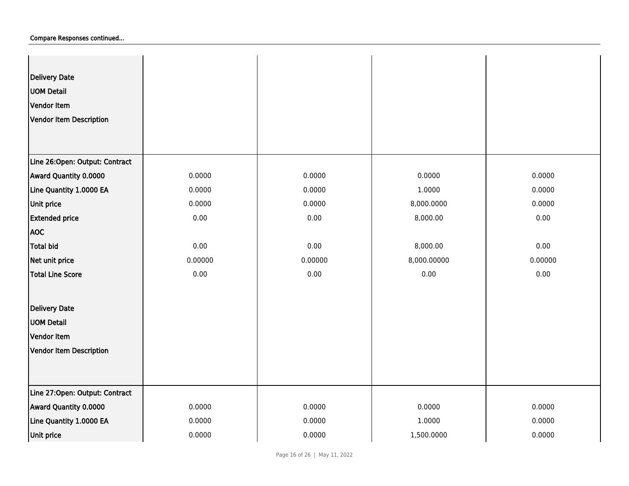| Delivery Date<br><b>UOM Detail</b><br>Vendor Item<br>Vendor Item Description |         |         |             |         |
|------------------------------------------------------------------------------|---------|---------|-------------|---------|
| Line 26:Open: Output: Contract                                               |         |         |             |         |
| Award Quantity 0.0000                                                        | 0.0000  | 0.0000  | 0.0000      | 0.0000  |
| Line Quantity 1.0000 EA                                                      | 0.0000  | 0.0000  | 1.0000      | 0.0000  |
| Unit price                                                                   | 0.0000  | 0.0000  | 8,000.0000  | 0.0000  |
| <b>Extended price</b>                                                        | 0.00    | 0.00    | 8,000.00    | 0.00    |
| <b>AOC</b>                                                                   |         |         |             |         |
| Total bid                                                                    | 0.00    | 0.00    | 8,000.00    | 0.00    |
| Net unit price                                                               | 0.00000 | 0.00000 | 8,000.00000 | 0.00000 |
| Total Line Score                                                             | 0.00    | 0.00    | 0.00        | 0.00    |
| <b>Delivery Date</b>                                                         |         |         |             |         |
| <b>UOM Detail</b>                                                            |         |         |             |         |
| Vendor Item                                                                  |         |         |             |         |
| Vendor Item Description                                                      |         |         |             |         |
|                                                                              |         |         |             |         |
| Line 27:Open: Output: Contract                                               |         |         |             |         |
| Award Quantity 0.0000                                                        | 0.0000  | 0.0000  | 0.0000      | 0.0000  |
| Line Quantity 1.0000 EA                                                      | 0.0000  | 0.0000  | 1.0000      | 0.0000  |
| Unit price                                                                   | 0.0000  | 0.0000  | 1,500.0000  | 0.0000  |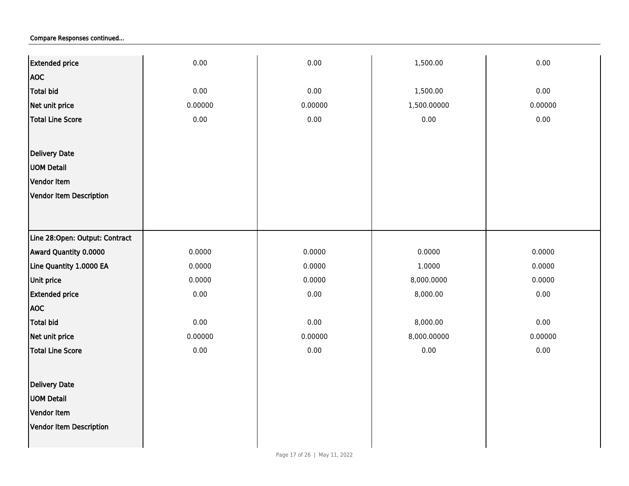| <b>Extended price</b>          | 0.00    | 0.00    | 1,500.00    | 0.00    |
|--------------------------------|---------|---------|-------------|---------|
| <b>AOC</b>                     |         |         |             |         |
| Total bid                      | 0.00    | 0.00    | 1,500.00    | 0.00    |
| Net unit price                 | 0.00000 | 0.00000 | 1,500.00000 | 0.00000 |
| Total Line Score               | 0.00    | 0.00    | $0.00\,$    | 0.00    |
|                                |         |         |             |         |
| Delivery Date                  |         |         |             |         |
| <b>UOM Detail</b>              |         |         |             |         |
| Vendor Item                    |         |         |             |         |
| <b>Vendor Item Description</b> |         |         |             |         |
|                                |         |         |             |         |
|                                |         |         |             |         |
| Line 28:Open: Output: Contract |         |         |             |         |
| Award Quantity 0.0000          | 0.0000  | 0.0000  | 0.0000      | 0.0000  |
| Line Quantity 1.0000 EA        | 0.0000  | 0.0000  | 1.0000      | 0.0000  |
| Unit price                     | 0.0000  | 0.0000  | 8,000.0000  | 0.0000  |
| <b>Extended price</b>          | 0.00    | 0.00    | 8,000.00    | 0.00    |
| <b>AOC</b>                     |         |         |             |         |
| Total bid                      | 0.00    | 0.00    | 8,000.00    | 0.00    |
| Net unit price                 | 0.00000 | 0.00000 | 8,000.00000 | 0.00000 |
| Total Line Score               | 0.00    | 0.00    | $0.00\,$    | 0.00    |
|                                |         |         |             |         |
| Delivery Date                  |         |         |             |         |
| <b>UOM Detail</b>              |         |         |             |         |
| Vendor Item                    |         |         |             |         |
| Vendor Item Description        |         |         |             |         |
|                                |         |         |             |         |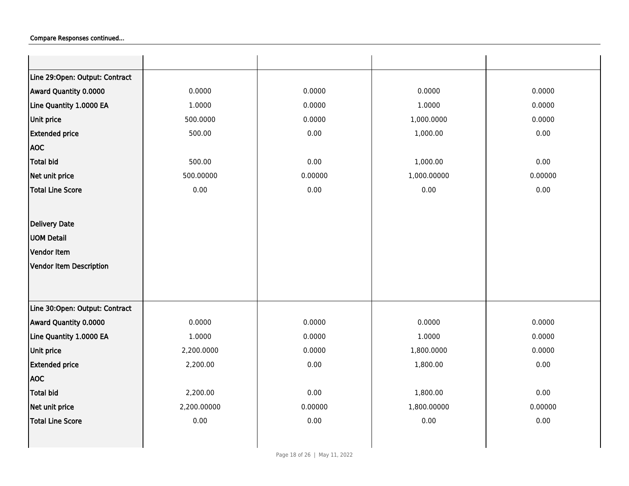| Line 29:Open: Output: Contract |             |         |             |         |
|--------------------------------|-------------|---------|-------------|---------|
| Award Quantity 0.0000          | 0.0000      | 0.0000  | 0.0000      | 0.0000  |
| Line Quantity 1.0000 EA        | 1.0000      | 0.0000  | 1.0000      | 0.0000  |
| Unit price                     | 500.0000    | 0.0000  | 1,000.0000  | 0.0000  |
| <b>Extended price</b>          | 500.00      | 0.00    | 1,000.00    | 0.00    |
| <b>AOC</b>                     |             |         |             |         |
| <b>Total bid</b>               | 500.00      | 0.00    | 1,000.00    | 0.00    |
| Net unit price                 | 500.00000   | 0.00000 | 1,000.00000 | 0.00000 |
| <b>Total Line Score</b>        | 0.00        | 0.00    | 0.00        | 0.00    |
|                                |             |         |             |         |
| Delivery Date                  |             |         |             |         |
| <b>UOM Detail</b>              |             |         |             |         |
| Vendor Item                    |             |         |             |         |
| <b>Vendor Item Description</b> |             |         |             |         |
|                                |             |         |             |         |
|                                |             |         |             |         |
| Line 30:Open: Output: Contract |             |         |             |         |
| Award Quantity 0.0000          | 0.0000      | 0.0000  | 0.0000      | 0.0000  |
| Line Quantity 1.0000 EA        | 1.0000      | 0.0000  | 1.0000      | 0.0000  |
| Unit price                     | 2,200.0000  | 0.0000  | 1,800.0000  | 0.0000  |
| <b>Extended price</b>          | 2,200.00    | 0.00    | 1,800.00    | 0.00    |
| <b>AOC</b>                     |             |         |             |         |
| <b>Total bid</b>               | 2,200.00    | 0.00    | 1,800.00    | 0.00    |
| Net unit price                 | 2,200.00000 | 0.00000 | 1,800.00000 | 0.00000 |
| <b>Total Line Score</b>        | 0.00        | 0.00    | 0.00        | 0.00    |
|                                |             |         |             |         |
|                                |             |         |             |         |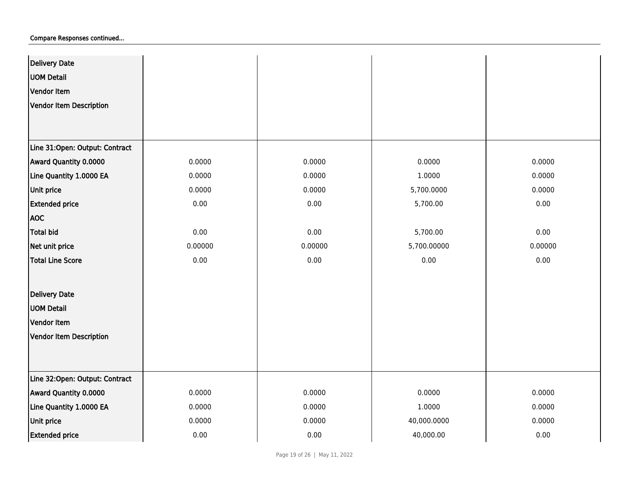| <b>Delivery Date</b>           |         |         |             |         |
|--------------------------------|---------|---------|-------------|---------|
| <b>UOM Detail</b>              |         |         |             |         |
| Vendor Item                    |         |         |             |         |
| Vendor Item Description        |         |         |             |         |
|                                |         |         |             |         |
|                                |         |         |             |         |
| Line 31:Open: Output: Contract |         |         |             |         |
| Award Quantity 0.0000          | 0.0000  | 0.0000  | 0.0000      | 0.0000  |
| Line Quantity 1.0000 EA        | 0.0000  | 0.0000  | 1.0000      | 0.0000  |
| Unit price                     | 0.0000  | 0.0000  | 5,700.0000  | 0.0000  |
| <b>Extended price</b>          | 0.00    | 0.00    | 5,700.00    | 0.00    |
| <b>AOC</b>                     |         |         |             |         |
| <b>Total bid</b>               | 0.00    | 0.00    | 5,700.00    | 0.00    |
| Net unit price                 | 0.00000 | 0.00000 | 5,700.00000 | 0.00000 |
| <b>Total Line Score</b>        | 0.00    | 0.00    | 0.00        | 0.00    |
|                                |         |         |             |         |
| <b>Delivery Date</b>           |         |         |             |         |
| <b>UOM Detail</b>              |         |         |             |         |
| Vendor Item                    |         |         |             |         |
| Vendor Item Description        |         |         |             |         |
|                                |         |         |             |         |
|                                |         |         |             |         |
| Line 32:Open: Output: Contract |         |         |             |         |
| <b>Award Quantity 0.0000</b>   | 0.0000  | 0.0000  | 0.0000      | 0.0000  |
| Line Quantity 1.0000 EA        | 0.0000  | 0.0000  | 1.0000      | 0.0000  |
| Unit price                     | 0.0000  | 0.0000  | 40,000.0000 | 0.0000  |
| <b>Extended price</b>          | 0.00    | 0.00    | 40,000.00   | 0.00    |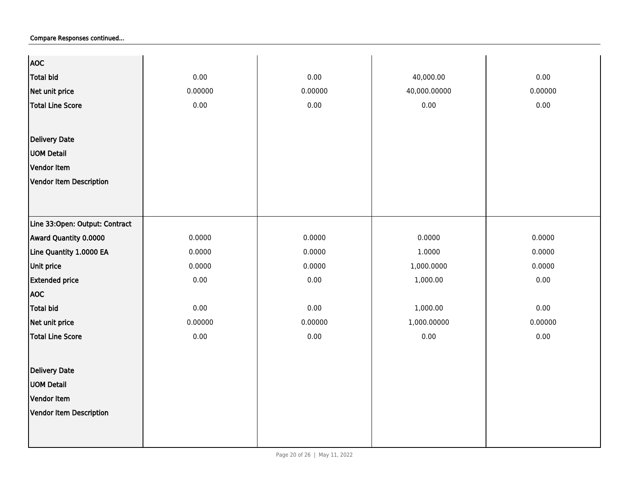| <b>AOC</b>                     |         |         |              |          |
|--------------------------------|---------|---------|--------------|----------|
| <b>Total bid</b>               | 0.00    | 0.00    | 40,000.00    | 0.00     |
| Net unit price                 | 0.00000 | 0.00000 | 40,000.00000 | 0.00000  |
| <b>Total Line Score</b>        | 0.00    | 0.00    | 0.00         | 0.00     |
|                                |         |         |              |          |
|                                |         |         |              |          |
| <b>Delivery Date</b>           |         |         |              |          |
| <b>UOM Detail</b>              |         |         |              |          |
| Vendor Item                    |         |         |              |          |
| Vendor Item Description        |         |         |              |          |
|                                |         |         |              |          |
|                                |         |         |              |          |
| Line 33:Open: Output: Contract |         |         |              |          |
| Award Quantity 0.0000          | 0.0000  | 0.0000  | 0.0000       | 0.0000   |
| Line Quantity 1.0000 EA        | 0.0000  | 0.0000  | 1.0000       | 0.0000   |
| Unit price                     | 0.0000  | 0.0000  | 1,000.0000   | 0.0000   |
| <b>Extended price</b>          | 0.00    | 0.00    | 1,000.00     | $0.00\,$ |
| <b>AOC</b>                     |         |         |              |          |
| <b>Total bid</b>               | 0.00    | 0.00    | 1,000.00     | 0.00     |
| Net unit price                 | 0.00000 | 0.00000 | 1,000.00000  | 0.00000  |
| <b>Total Line Score</b>        | 0.00    | 0.00    | $0.00\,$     | 0.00     |
|                                |         |         |              |          |
| <b>Delivery Date</b>           |         |         |              |          |
| <b>UOM Detail</b>              |         |         |              |          |
| Vendor Item                    |         |         |              |          |
|                                |         |         |              |          |
| <b>Vendor Item Description</b> |         |         |              |          |
|                                |         |         |              |          |
|                                |         |         |              |          |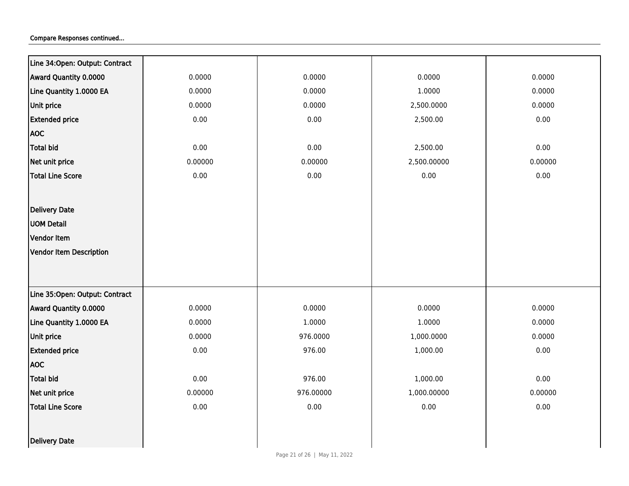| Line 34: Open: Output: Contract |          |           |             |         |
|---------------------------------|----------|-----------|-------------|---------|
| Award Quantity 0.0000           | 0.0000   | 0.0000    | 0.0000      | 0.0000  |
| Line Quantity 1.0000 EA         | 0.0000   | 0.0000    | 1.0000      | 0.0000  |
| Unit price                      | 0.0000   | 0.0000    | 2,500.0000  | 0.0000  |
| <b>Extended price</b>           | $0.00\,$ | 0.00      | 2,500.00    | 0.00    |
| <b>AOC</b>                      |          |           |             |         |
| <b>Total bid</b>                | 0.00     | 0.00      | 2,500.00    | 0.00    |
| Net unit price                  | 0.00000  | 0.00000   | 2,500.00000 | 0.00000 |
| <b>Total Line Score</b>         | 0.00     | 0.00      | 0.00        | 0.00    |
|                                 |          |           |             |         |
| Delivery Date                   |          |           |             |         |
| <b>UOM Detail</b>               |          |           |             |         |
| Vendor Item                     |          |           |             |         |
| <b>Vendor Item Description</b>  |          |           |             |         |
|                                 |          |           |             |         |
|                                 |          |           |             |         |
| Line 35:Open: Output: Contract  |          |           |             |         |
| Award Quantity 0.0000           | 0.0000   | 0.0000    | 0.0000      | 0.0000  |
| Line Quantity 1.0000 EA         | 0.0000   | 1.0000    | 1.0000      | 0.0000  |
| Unit price                      | 0.0000   | 976.0000  | 1,000.0000  | 0.0000  |
| <b>Extended price</b>           | 0.00     | 976.00    | 1,000.00    | 0.00    |
| <b>AOC</b>                      |          |           |             |         |
| <b>Total bid</b>                | 0.00     | 976.00    | 1,000.00    | 0.00    |
| Net unit price                  | 0.00000  | 976.00000 | 1,000.00000 | 0.00000 |
| <b>Total Line Score</b>         | 0.00     | 0.00      | 0.00        | 0.00    |
|                                 |          |           |             |         |
| Delivery Date                   |          |           |             |         |
|                                 |          |           |             |         |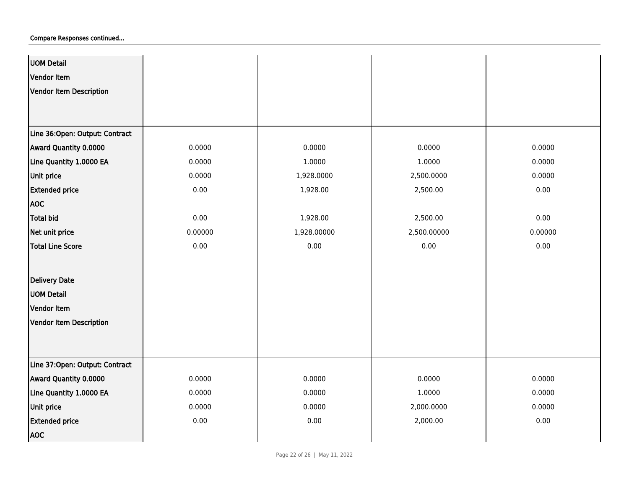| <b>UOM Detail</b>              |          |             |             |          |
|--------------------------------|----------|-------------|-------------|----------|
| Vendor Item                    |          |             |             |          |
| Vendor Item Description        |          |             |             |          |
|                                |          |             |             |          |
|                                |          |             |             |          |
| Line 36:Open: Output: Contract |          |             |             |          |
| Award Quantity 0.0000          | 0.0000   | 0.0000      | 0.0000      | 0.0000   |
| Line Quantity 1.0000 EA        | 0.0000   | 1.0000      | 1.0000      | 0.0000   |
| Unit price                     | 0.0000   | 1,928.0000  | 2,500.0000  | 0.0000   |
| <b>Extended price</b>          | 0.00     | 1,928.00    | 2,500.00    | 0.00     |
| <b>AOC</b>                     |          |             |             |          |
| Total bid                      | 0.00     | 1,928.00    | 2,500.00    | 0.00     |
| Net unit price                 | 0.00000  | 1,928.00000 | 2,500.00000 | 0.00000  |
| <b>Total Line Score</b>        | 0.00     | 0.00        | 0.00        | $0.00\,$ |
|                                |          |             |             |          |
| <b>Delivery Date</b>           |          |             |             |          |
| <b>UOM Detail</b>              |          |             |             |          |
| Vendor Item                    |          |             |             |          |
| Vendor Item Description        |          |             |             |          |
|                                |          |             |             |          |
|                                |          |             |             |          |
| Line 37:Open: Output: Contract |          |             |             |          |
| Award Quantity 0.0000          | 0.0000   | 0.0000      | 0.0000      | 0.0000   |
| Line Quantity 1.0000 EA        | 0.0000   | 0.0000      | 1.0000      | 0.0000   |
| Unit price                     | 0.0000   | 0.0000      | 2,000.0000  | 0.0000   |
| <b>Extended price</b>          | $0.00\,$ | 0.00        | 2,000.00    | $0.00\,$ |
| <b>AOC</b>                     |          |             |             |          |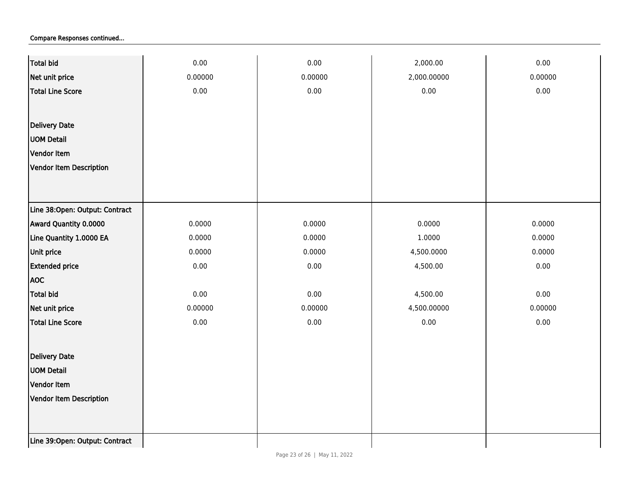| <b>Total bid</b>                | 0.00    | 0.00    | 2,000.00    | 0.00    |
|---------------------------------|---------|---------|-------------|---------|
| Net unit price                  | 0.00000 | 0.00000 | 2,000.00000 | 0.00000 |
| <b>Total Line Score</b>         | 0.00    | 0.00    | 0.00        | 0.00    |
|                                 |         |         |             |         |
| <b>Delivery Date</b>            |         |         |             |         |
| <b>UOM Detail</b>               |         |         |             |         |
| Vendor Item                     |         |         |             |         |
| Vendor Item Description         |         |         |             |         |
|                                 |         |         |             |         |
|                                 |         |         |             |         |
| Line 38:Open: Output: Contract  |         |         |             |         |
| Award Quantity 0.0000           | 0.0000  | 0.0000  | 0.0000      | 0.0000  |
| Line Quantity 1.0000 EA         | 0.0000  | 0.0000  | 1.0000      | 0.0000  |
| Unit price                      | 0.0000  | 0.0000  | 4,500.0000  | 0.0000  |
| <b>Extended price</b>           | 0.00    | 0.00    | 4,500.00    | 0.00    |
| <b>AOC</b>                      |         |         |             |         |
| <b>Total bid</b>                | 0.00    | 0.00    | 4,500.00    | 0.00    |
| Net unit price                  | 0.00000 | 0.00000 | 4,500.00000 | 0.00000 |
| <b>Total Line Score</b>         | 0.00    | 0.00    | 0.00        | 0.00    |
|                                 |         |         |             |         |
| Delivery Date                   |         |         |             |         |
| <b>UOM Detail</b>               |         |         |             |         |
| Vendor Item                     |         |         |             |         |
| Vendor Item Description         |         |         |             |         |
|                                 |         |         |             |         |
|                                 |         |         |             |         |
| Line 39: Open: Output: Contract |         |         |             |         |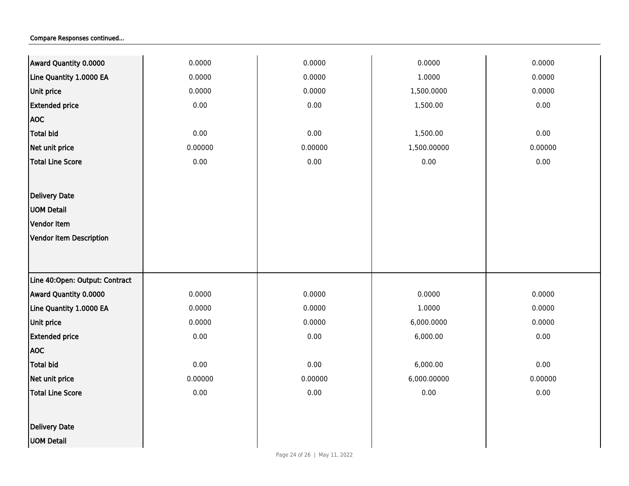| Award Quantity 0.0000          | 0.0000  | 0.0000   | 0.0000      | 0.0000  |
|--------------------------------|---------|----------|-------------|---------|
| Line Quantity 1.0000 EA        | 0.0000  | 0.0000   | 1.0000      | 0.0000  |
| Unit price                     | 0.0000  | 0.0000   | 1,500.0000  | 0.0000  |
| <b>Extended price</b>          | 0.00    | 0.00     | 1,500.00    | 0.00    |
| <b>AOC</b>                     |         |          |             |         |
| Total bid                      | 0.00    | 0.00     | 1,500.00    | 0.00    |
| Net unit price                 | 0.00000 | 0.00000  | 1,500.00000 | 0.00000 |
| <b>Total Line Score</b>        | 0.00    | $0.00\,$ | 0.00        | 0.00    |
|                                |         |          |             |         |
| <b>Delivery Date</b>           |         |          |             |         |
| <b>UOM Detail</b>              |         |          |             |         |
| Vendor Item                    |         |          |             |         |
| Vendor Item Description        |         |          |             |         |
|                                |         |          |             |         |
|                                |         |          |             |         |
| Line 40:Open: Output: Contract |         |          |             |         |
| Award Quantity 0.0000          | 0.0000  | 0.0000   | 0.0000      | 0.0000  |
| Line Quantity 1.0000 EA        | 0.0000  | 0.0000   | 1.0000      | 0.0000  |
| Unit price                     | 0.0000  | 0.0000   | 6,000.0000  | 0.0000  |
| <b>Extended price</b>          | 0.00    | 0.00     | 6,000.00    | 0.00    |
| <b>AOC</b>                     |         |          |             |         |
| Total bid                      | 0.00    | 0.00     | 6,000.00    | 0.00    |
| Net unit price                 | 0.00000 | 0.00000  | 6,000.00000 | 0.00000 |
| <b>Total Line Score</b>        | 0.00    | 0.00     | 0.00        | 0.00    |
|                                |         |          |             |         |
| <b>Delivery Date</b>           |         |          |             |         |
| <b>UOM Detail</b>              |         |          |             |         |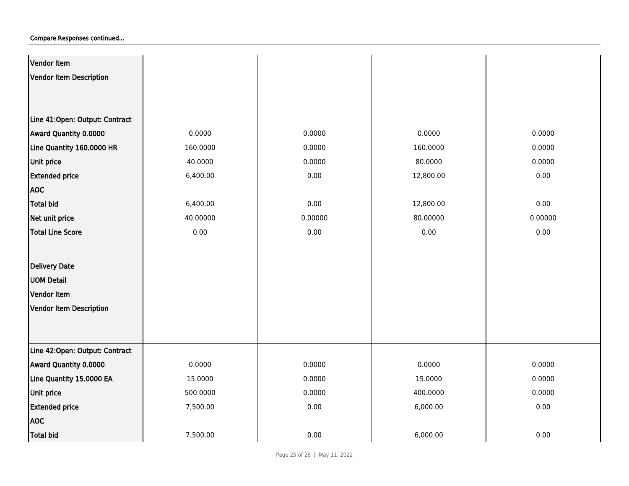| Vendor Item                    |          |         |           |         |
|--------------------------------|----------|---------|-----------|---------|
| Vendor Item Description        |          |         |           |         |
|                                |          |         |           |         |
|                                |          |         |           |         |
| Line 41:Open: Output: Contract |          |         |           |         |
| Award Quantity 0.0000          | 0.0000   | 0.0000  | 0.0000    | 0.0000  |
| Line Quantity 160.0000 HR      | 160.0000 | 0.0000  | 160.0000  | 0.0000  |
| Unit price                     | 40.0000  | 0.0000  | 80.0000   | 0.0000  |
| <b>Extended price</b>          | 6,400.00 | 0.00    | 12,800.00 | 0.00    |
| <b>AOC</b>                     |          |         |           |         |
| Total bid                      | 6,400.00 | 0.00    | 12,800.00 | 0.00    |
| Net unit price                 | 40.00000 | 0.00000 | 80.00000  | 0.00000 |
| <b>Total Line Score</b>        | 0.00     | 0.00    | 0.00      | 0.00    |
|                                |          |         |           |         |
| <b>Delivery Date</b>           |          |         |           |         |
| <b>UOM Detail</b>              |          |         |           |         |
| <b>Vendor Item</b>             |          |         |           |         |
| Vendor Item Description        |          |         |           |         |
|                                |          |         |           |         |
|                                |          |         |           |         |
| Line 42:Open: Output: Contract |          |         |           |         |
| <b>Award Quantity 0.0000</b>   | 0.0000   | 0.0000  | 0.0000    | 0.0000  |
| Line Quantity 15.0000 EA       | 15.0000  | 0.0000  | 15.0000   | 0.0000  |
| Unit price                     | 500.0000 | 0.0000  | 400.0000  | 0.0000  |
| <b>Extended price</b>          | 7,500.00 | 0.00    | 6,000.00  | 0.00    |
| <b>AOC</b>                     |          |         |           |         |
| Total bid                      | 7,500.00 | 0.00    | 6,000.00  | 0.00    |